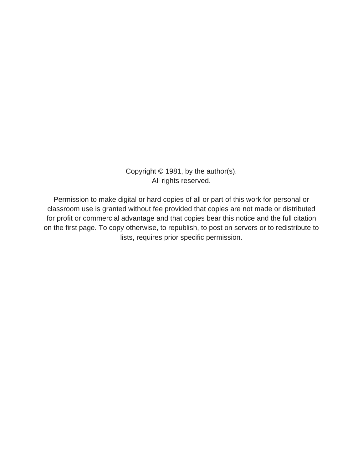Copyright © 1981, by the author(s). All rights reserved.

Permission to make digital or hard copies of all or part of this work for personal or classroom use is granted without fee provided that copies are not made or distributed for profit or commercial advantage and that copies bear this notice and the full citation on the first page. To copy otherwise, to republish, to post on servers or to redistribute to lists, requires prior specific permission.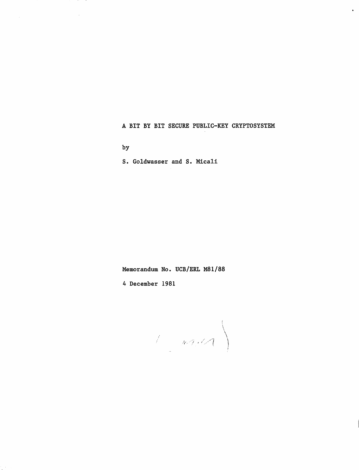A BIT BY BIT SECURE PUBLIC-KEY CRYPTOSYSTEM

 $\bullet$ 

by

S. Goldwasser and S. Micali

Memorandum No. UCB/ERL M81/88

4 December 1981

 $\left\langle \left\langle \left\langle \left\langle \left\langle \rho\right\rangle \left\langle \rho\right\rangle \left\langle \rho\right\rangle \right\rangle \right\rangle \right\rangle \right\rangle$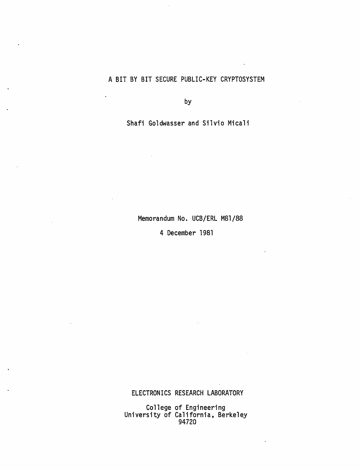# A BIT BY BIT SECURE PUBLIC-KEY CRYPTOSYSTEM

 $\ddot{\phantom{a}}$ 

*by*

 $\ddot{\phantom{a}}$ 

*Shafi Goldwasser and Silvio Micali*

Memorandum No. UCB/ERL M81/88

4 December 1981

ELECTRONICS RESEARCH LABORATORY

College of Engineering University of California, Berkeley 94720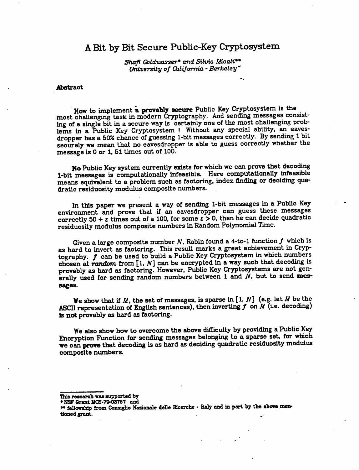# *A Bit by Bit Secure Public-Key Cryptosystem*

*Shafi Goldwasser\* and Silvio Micali0\* University of California - Berkeley\**

#### Abstract

How to implement a **provably secure** Public Key Cryptosystem is the most challenging task in modern Cryptography. And sending messages consisting of a single bit in a secure way is certainly one of the most challenging problems in a Public Key Cryptosystem ! Without any special ability, an dropper has a 50% chance of guessing 1-bit messages correctly. By sending 1 bit securely we mean that no eavesdropper is able to guess correctly whether the message is 0 or 1, 51 times out of 100.

NoPublic Key system currently exists for which we can prove that decoding 1-bit messages is computationally infeasible. Here computationally infeasible means equivalent to a problem such as factoring, index finding or deciding qua dratic residuosity modulus composite numbers.

In this paper we present a way of sending 1-bit messages in a Public Key environment and prove that if an eavesdropper can guess these messages correctly 50 +  $\varepsilon$  times out of a 100, for some  $\varepsilon > 0$ , then he can decide quadratic residuosity modulus composite numbers in Random Polynomial Time.

Given a large composite number  $N$ , Rabin found a 4-to-1 function  $f$  which is as hard to invert as factoring. This result marks a great achievement in Cryptography.  $f$  can be used to build a Public Key Cryptosystem in which numbers chosen at **random** from [1, **N]** can be encrypted in a way such that decoding is provably as hard as factoring. However, Public Key Cryptosystems are not generally used for sending random numbers between 1 and  $N$ , but to send messages.

We show that if  $M$ , the set of messages, is sparse in  $[1, N]$  (e.g. let  $M$  be the ASCII representation of English sentences), then inverting  $f$  on  $M$  (i.e. decoding) is *not* provably as hard as factoring.

We also show how to overcome the above difficulty by providing a Public Key Encryption Function for sending messages belonging to a sparse set, for which *we* can *prove* that decoding is as hard as deciding quadratic residuosity modulus composite numbers.

*This research was supported by*

*<sup>•</sup>NSF Grant HCS-79-03767 and*

*<sup>••</sup> fellowship from Consaglio Nazionale deHc Ricerche - Italy and in partby the above men tioned grant.*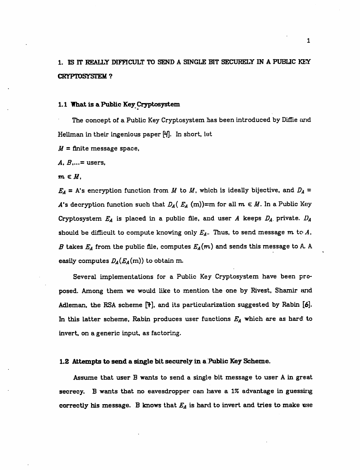# *1. IS IT REALLY DIFFICULT TO SEND A SINGLE BIT SECURELY IN A PUBLIC KEY CRYPTOSYSTEM?*

# *1.1 What is a Public Key Cryptosystem*

The concept of a Public Key Cryptosystem has been introduced by Diffie and Hellman in their ingenious paper  $[H]$ . In short, let

 $M =$  finite message space,

 $A, B, \ldots$ = users,

 $m \in M$ ,

 $E_A = A$ 's encryption function from *M* to *M*, which is ideally bijective, and  $D_A =$ A's decryption function such that  $D_A(E_A(m))=m$  for all  $m \in M$ . In a Public Key Cryptosystem  $E_A$  is placed in a public file, and user  $A$  keeps  $D_A$  private.  $D_A$ should be difficult to compute knowing only  $E_A$ . Thus, to send message m to  $A$ , *B* takes  $E_A$  from the public file, computes  $E_A(m)$  and sends this message to A. A easily computes  $D_A(E_A(m))$  to obtain m.

Several implementations for a Public Key Cryptosystem have been pro posed. Among them we would like to mention the one by Rivest, Shamir and Adleman, the RSA scheme  $[7]$ , and its particularization suggested by Rabin  $[6]$ . In this latter scheme, Rabin produces user functions **Ea** which are as hard to invert, on a generic input, as factoring.

#### *1.2 Attempts to send a single bitsecurely in a .Public Key Scheme.*

Assume that user B wants to send a single bit message to user A in great secrecy. B wants that no eavesdropper can have a 1% advantage in guessing correctly his message. B knows that  $E_A$  is hard to invert and tries to make use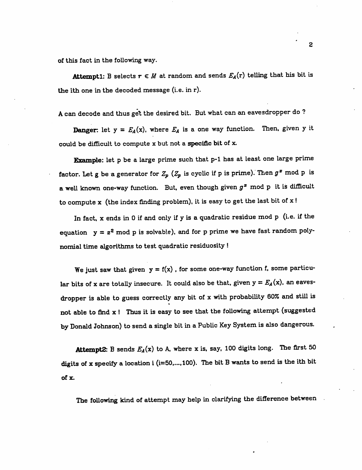of this fact in the following way.

**Attempt1:** B selects  $r \in M$  at random and sends  $E_A(r)$  telling that his bit is the ith one in the decoded message (i.e. in r).

A can decode and thus get the desired bit. But what can an eavesdropper do?

**Danger:** let  $y = E_A(x)$ , where  $E_A$  is a one way function. Then, given y it could be difficult to compute x but not a *specific* bit of x.

*Example:* let p be a large prime such that p-1 has at least one large prime factor. Let g be a generator for  $Z_p$   $(Z_p$  is cyclic if p is prime). Then  $g^x$  mod p is a well known one-way function. But, even though given  $g^x$  mod p it is difficult to compute x (the index finding problem), it is easy to get the last bit of x !

In fact, x ends in 0 if and only if y is a quadratic residue mod p (i.e. if the equation  $y = z^2$  mod p is solvable), and for p prime we have fast random polynomial time algorithms to test quadratic residuosity !

We just saw that given  $y = f(x)$ , for some one-way function f, some particular bits of x are totally insecure. It could also be that, given  $y = E_A(x)$ , an eavesdropper is able to guess correctly any bit of x with probability 60% and still is not able to find *x* ! Thus it is easy to see that the following attempt (suggested by Donald Johnson) to send a single bit in a Public Key System is also dangerous.

**Attempt2:** B sends  $E_A(x)$  to A, where x is, say, 100 digits long. The first 50 digits of *x* specify a location i (i=50,...,100). The bit B wants to send is the ith bit of x.

The following kind of attempt may help in clarifying the difference between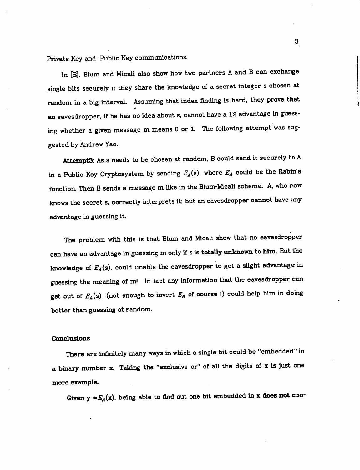Private Key and Public Key communications.

In [3], Blum and Micali also show how two partners A and B can exchange single bits securely if they share the knowledge of a secret integer s chosen at random in a big interval. Assuming that index finding is hard, they prove that an eavesdropper, if he has no idea about s, cannot have a 1% advantage in guess ing whether a given message m means 0 or 1. The following attempt was sug gested by Andrew Yao.

Attempt3: As s needs to be chosen at random, B could send it securely to A in a Public Key Cryptosystem by sending  $E_A(s)$ , where  $E_A$  could be the Rabin's function. Then B sends a message m like in the Blum-Micali scheme. A, who now knows the secret s, correctly interprets it; but an eavesdropper cannot have any advantage in guessing it.

The problem with this is that Blum and Micali show that no eavesdropper can have an advantage in guessing monly if s is*totally unknown to him.* But tlhe knowledge of  $E_A(s)$ , could unable the eavesdropper to get a slight advantage in guessing the meaning of m! In fact any information that the eavesdropper can get out of  $E_A(s)$  (not enough to invert  $E_A$  of course !) could help him in doing better than guessing at random.

#### Conclusions

There are infinitely many ways inwhich a single bit could be "embedded" in a binary number x. Taking the "exclusive or" of all the digits of x is just one more example.

Given  $y = E_A(x)$ , being able to find out one bit embedded in x **does not con-**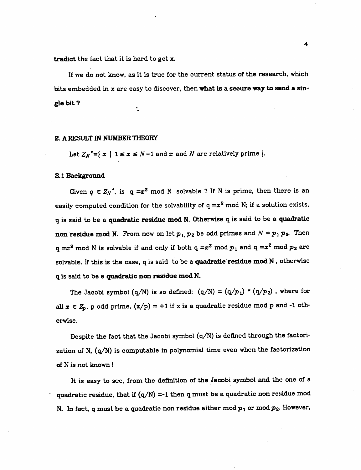*tradict* the fact that it is hard to get x.

If we do not know, as it is true for the current status of the research, which bits embedded in x are easy to discover, then *what is a secure way to send a sin gle bit ?*  $\ddot{\phantom{a}}$ 

## *2. ARESULT IN NUMBER THEORY*

Let  $Z_N^*=\{x \mid 1 \le x \le N-1 \text{ and } x \text{ and } N \text{ are relatively prime}\}.$ 

# *2.1 Background*

Given  $q \in Z_N^*$ , is  $q = x^2 \mod N$  solvable ? If N is prime, then there is an easily computed condition for the solvability of  $q = x^2$  mod N; if a solution exists, q is said to be a *quadratic residue mod N.* Otherwise q is said to be a *quadratic* **non residue mod N.** From now on let  $p_1$   $p_2$  be odd primes and  $N = p_1 p_2$ . Then q = $x^2$  mod N is solvable if and only if both q = $x^2$  mod  $p_1$  and q = $x^2$  mod  $p_2$  are solvable. If this is the case, q is said to be a *quadratic residue modN* , otherwise q is said to be a *quadratic non residue mod N.*

The Jacobi symbol (q/N) is so defined:  $(q/N) = (q/p_1) * (q/p_2)$ , where for all  $x \in Z_p$ , p odd prime,  $(x/p) = +1$  if x is a quadratic residue mod p and -1 otherwise.

Despite the fact that the Jacobi symbol  $(q/N)$  is defined through the factorization of N, (q/N) is computable in polynomial time even when the factorization of <sup>N</sup> is not known !

It is easy to see, from the definition of the Jacobi symbol and the one of a quadratic residue, that if  $(q/N) = -1$  then q must be a quadratic non residue mod N. In fact, q must be a quadratic non residue either mod  $p_1$  or mod  $p_2$ . However,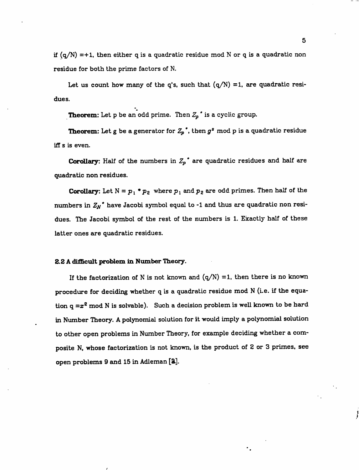if  $(q/N)$  =+1, then either q is a quadratic residue mod N or q is a quadratic non residue for both the prime factors of N.

Let us count how many of the q's, such that  $(q/N) = 1$ , are quadratic residues.

**Theorem:** Let p be an odd prime. Then  $Z_p$ <sup> $\bullet$ </sup> is a cyclic group.

**Theorem:** Let g be a generator for  $Z_p$ <sup>\*</sup>, then  $g^s$  mod p is a quadratic residue iff s is even.

**Corollary:** Half of the numbers in  $Z_p$ <sup>\*</sup> are quadratic residues and half are quadratic non residues.

**Corollary:** Let  $N = p_1 * p_2$  where  $p_1$  and  $p_2$  are odd primes. Then half of the numbers in  $Z_N$ <sup>\*</sup> have Jacobi symbol equal to -1 and thus are quadratic non residues. The Jacobi symbol of the rest of the numbers is 1. Exactly half of these latter ones are quadratic residues.

## *2.2 A difficult problem in Number* Theory.

If the factorization of N is not known and  $(q/N) = 1$ , then there is no known procedure for deciding whether q is a quadratic residue mod  $N$  (i.e. if the equation  $q = x^2$  mod N is solvable). Such a decision problem is well known to be hard in Number Theory. A polynomial solution for it would imply a polynomial solution to other open problems in Number Theory, for example deciding whether a com posite N, whose factorization is not known, is the product of 2 or 3 primes, see open problems 9 and 15 in Adleman[&].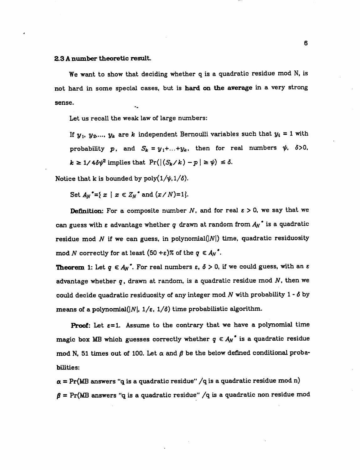## **2.3** A number theoretic result.

We want to show that deciding whether q is a quadratic residue mod  $N$ , is not hard in some special cases, but is *hard on the average* in a very strong sense.

Let us recall the weak law of large numbers:

If  $y_1, y_2,..., y_k$  are k independent Bernoulli variables such that  $y_i = 1$  with probability p, and  $S_k = y_1 + ... + y_k$ , then for real numbers  $\psi$ ,  $\delta > 0$ ,  $k \ge 1/4\delta\psi^2$  implies that  $Pr(|(S_k/k) - p| \ge \psi) \le \delta$ .

Notice that k is bounded by poly $(1/\psi,1/\delta)$ .

*Set*  $A_N^* = \{ x \mid x \in Z_N^* \text{ and } (x/N)=1 \}.$ 

**Definition:** For a composite number N, and for real  $\varepsilon > 0$ , we say that we can guess with  $\varepsilon$  advantage whether  $q$  drawn at random from  $A_N^*$  is a quadratic residue mod N if we can guess, in polynomial( $|N|$ ) time, quadratic residuosity mod *N* correctly for at least  $(50 + \varepsilon)$ % of the  $q \in A_N^*$ .

**Theorem** 1: Let  $q \in A_N^*$ . For real numbers  $\varepsilon$ ,  $\delta > 0$ , if we could guess, with an  $\varepsilon$ advantage whether **q,** drawn at random, is a quadratic residue mod **N,** then we could decide quadratic residuosity of any integer mod **N** with probability 1 - **6** by means of a polynomial( $|N|$ ,  $1/\varepsilon$ ,  $1/\delta$ ) time probabilistic algorithm.

**Proof:** Let  $\varepsilon = 1$ . Assume to the contrary that we have a polynomial time magic box MB which guesses correctly whether  $q \in A_N^*$  is a quadratic residue mod N, 51 times out of 100. Let  $\alpha$  and  $\beta$  be the below defined conditional probabilities:

 $\alpha$  = Pr(MB answers "q is a quadratic residue" /q is a quadratic residue mod n)  $\beta$  = Pr(MB answers "q is a quadratic residue"  $/q$  is a quadratic non residue mod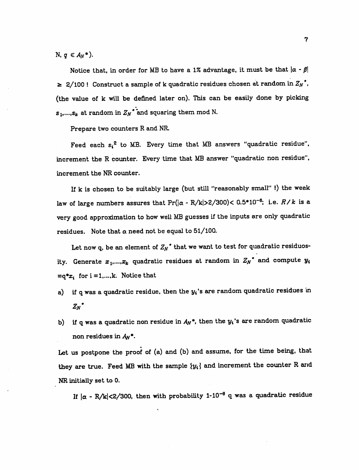*N, q*  $\in$  *A<sub>N</sub>*\*).

*Notice that,* in order for MB to have a 1% advantage, it must be that  $|\alpha - \beta|$  $\geq$  2/100 **!** Construct a sample of k quadratic residues chosen at random in  $Z_N$ . *(the value of k will be defined later on). This can be easily done by picking s!,...,£\* at random in Z/y\* "and squaring them mod N.*

*Prepare two counters R and NR.*

*Feed each s? to MB. Every time that MB answers "quadratic residue", increment the R counter. Every time that MB answer "quadratic non residue", increment the NR counter.*

*If k is chosen to be suitably large (but still "reasonably small" !) the weak law of large numbers assures that Prfla - R/k|>2/300)< 0.5\*10-6; i.e. R/k is a very good approximation to howwell MB guesses if the inputs are only quadratic residues. Note that a need not be equal to 51/100.*

Let now q, be an element of  $Z_N$ <sup>\*</sup> that we want to test for quadratic residuos*ity.* Generate  $x_1, ..., x_k$  quadratic residues at random in  $Z_N$ <sup>\*</sup> and compute  $y_i$  $= q^*x_i$  for  $i = 1,...,k$ . Notice that

- a) if q was a quadratic residue, then the  $y_i$ 's are random quadratic residues in  $Z_N$ <sup>\*</sup>
- *b) if q was a quadratic non residue in An\*, then the yi's are random quadratic non* residues in  $A_N$ <sup>\*</sup>.

*Let us postpone the proof of (a) and (b) and assume, for the time being, that* they are true. Feed MB with the sample  $\{y_i\}$  and increment the counter R and *NR initially set to 0.*

*If |a - RAI<2/300, then with probability 1-10"6 q was a quadratic residue*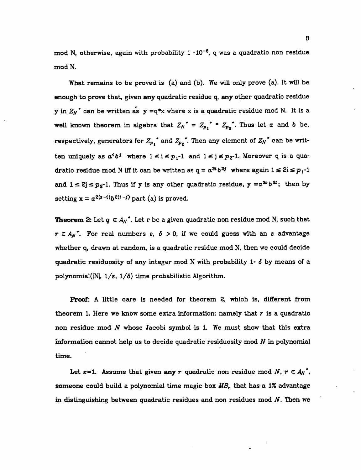mod N, otherwise, again with probability  $1 - 10^{-6}$ , q was a quadratic non residue mod N.

What remains to be proved is (a) and (b). We will only prove (a). It will be enough to prove that, given *any* quadratic residue q, *any* other quadratic residue **y** in  $Z_N^*$  can be written as  $y = q*x$  where x is a quadratic residue mod N. It is a well known theorem in algebra that  $Z_N^* = Z_{p_1}^* * Z_{p_2}^*$ . Thus let  $a$  and  $b$  be, respectively, generators for  $Z_{p_1}$ <sup>\*</sup> and  $Z_{p_2}$ <sup>\*</sup>. Then any element of  $Z_N$ <sup>\*</sup> can be written uniquely as  $a^ib^j$  where  $1 \le i \le p_1-1$  and  $1 \le j \le p_2-1$ . Moreover q is a quadratic residue mod N iff it can be written as  $q = a^{2i}b^{2j}$  where again  $1 \le 2i \le p_j-1$ and  $1 \leq 2j \leq p_2-1$ . Thus if y is any other quadratic residue,  $y = \alpha^{2s}b^{2i}$ ; then by setting  $x = a^{2(s-i)}b^{2(t-j)}$  part (a) is proved.

**Theorem 2:** Let  $q \in A_N^*$ . Let r be a given quadratic non residue mod N, such that  $r \in A_N$ <sup>.</sup> For real numbers  $\varepsilon$ ,  $\delta > 0$ , if we could guess with an  $\varepsilon$  advantage whether q, drawn at random, is a quadratic residue mod N, then we could decide quadratic residuosity of any integer mod N with probability 1- **6** by means of a polynomial(|N|, 1/e, **1/6)** time probabilistic Algorithm.

*Proof:* A little care is needed for theorem 2, which is, different from theorem 1. Here we know some extra information: namely that  $r$  is a quadratic non residue mod **N** whose Jacobi symbol is 1. We must show that this extra information cannot help us to decide quadratic residuosity mod **N** in polynomial time.

Let  $\varepsilon = 1$ . Assume that given any r quadratic non residue mod N,  $r \in A_N^*$ , someone could build a polynomial time magic box MB<sub>r</sub> that has a 1% advantage in distinguishing between quadratic residues and non residues mod **N.** Then we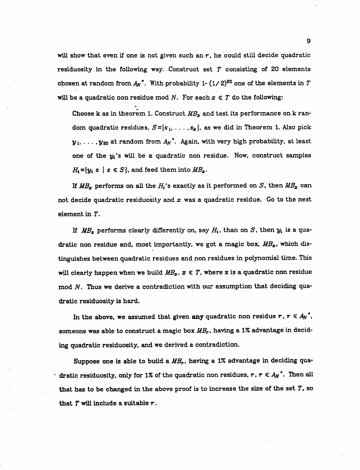will show that even if one is not given such an **r,** he could still decide quadratic residuosity in the following way. Construct set **T** consisting of 20 elements chosen at random from  $A_N$ <sup>\*</sup>. With probability 1- $(1/2)^{20}$  one of the elements in T will be a quadratic non residue mod N. For each  $x \in T$  do the following:

Choose k as in theorem 1. Construct  $MB_x$  and test its performance on k random quadratic residues,  $S = \{s_1, \ldots, s_k\}$ , as we did in Theorem 1. Also pick  $y_1, \ldots, y_{20}$  at random from  $A_N$ <sup>\*</sup>. Again, with very high probability, at least one of the **yi's** will be a quadratic non residue. Now, construct samples  $H_i = \{y_i \mid s \in S\}$ , and feed them into  $MB_x$ .

If  $MB_x$  performs on all the  $H_i$ 's exactly as it performed on S, then  $MB_x$  can not decide quadratic residuosity and **x** was a quadratic residue. Go to the nest element in **T.**

If  $MB_z$  performs clearly differently on, say  $H_i$ , than on S, then  $y_i$  is a quadratic non residue and, most importantly, we got a magic box,  $MB_x$ , which distinguishes between quadratic residues and non residues in polynomial time. This will clearly happen when we build  $MB_x$ ,  $x \in T$ , where x is a quadratic non residue mod **N.** Thus we derive a contradiction with our assumption that deciding qua dratic residuosity is hard.

In the above, we assumed that given any quadratic non residue  $r, r \in A_N$ <sup>\*</sup>. someone was able to construct a magic box **MBr,** having a 1% advantage in decid ing quadratic residuosity, and we derived a contradiction.

Suppose one is able to build a  $MB_r$ , having a 1% advantage in deciding quadratic residuosity, only for 1% of the quadratic non residues,  $r, r \in A_N^*$ . Then all that has to be changed in the above proof is to increase the size of the set  $T_*$  so that **<sup>T</sup>** will include <sup>a</sup> suitable r.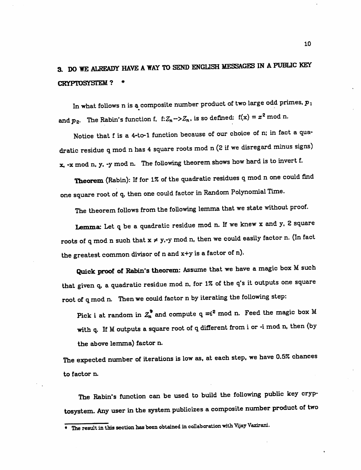# 3. DO WE ALREADY HAVE A WAY TO SEND ENGLISH MESSAGES IN A PUBLIC KEY CRYPTOSYSTEM?

In what follows n is a composite number product of two large odd primes,  $p_1$ and  $p_2$ . The Rabin's function f,  $f:Z_n \to Z_n$ , is so defined:  $f(x) = x^2$  mod n.

Notice that f is a 4-to-l function because of our choice of n; in fact a qua dratic residue q mod n has 4 square roots mod n (2 if we disregard minus signs) x. -x mod n. y. -y mod n. The following theorem shows how hard is to invert f.

**Theorem** (Rabin): If for 1% of the quadratic residues q mod n one could find one square root of q, then one could factor in Random Polynomial Time.

The theorem follows from the following lemma that we state without proof.

*Lemma:* Let q be a quadratic residue mod n. If we knew x and y, 2 square roots of q mod n such that  $x \neq y$ ,-y mod n, then we could easily factor n. (In fact the greatest common divisor of n and x+y is a factor of n).

*Quick proof of* Rabin's *theorem:* Assume that we have a magic box Msuch that given q. a quadratic residue mod n. for 1% of the q's it outputs one square root of qmod n. Then we could factor n by iterating the following step:

Pick i at random in  $Z_n^*$  and compute q =i<sup>2</sup> mod n. Feed the magic box M with q. If M outputs a square root of q different from i or -i mod n, then (by the above lemma) factor n.

The expected number of iterations is low as, at each step, we have 0.5% chances to factor n.

The Rabin's function can be used to build the following public key cryp tosystem. Any user in the system publicizes a composite number product of two

*<sup>•</sup> The resultinthia section has been obtained incollaboration -withVijay Vazirani.*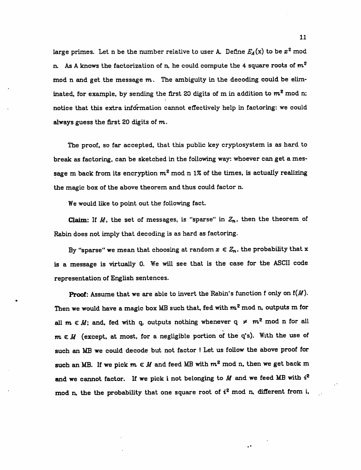large primes. Let n be the number relative to user A. Define  $E_A(x)$  to be  $x^2$  mod n. As A knows the factorization of n, he could compute the 4 square roots of  $m^2$ mod n and get the message  $m$ . The ambiguity in the decoding could be eliminated, for example, by sending the first 20 digits of m in addition to  $m^2$  mod n; notice that this extra information cannot effectively help in factoring: we could always guess the first 20 digits of m.

The proof, so far accepted, that this public key cryptosystem is as hard to break as factoring, can be sketched in the following way: whoever can get a mes sage m back from its encryption  $m^2$  mod n 1% of the times, is actually realizing the magic box of the above theorem and thus could factor n.

We would like to point out the following fact.

*Claim:* If *M*, the set of messages, is "sparse" in  $Z_n$ , then the theorem of Rabin does not imply that decoding is as hard as factoring.

By "sparse" we mean that choosing at random  $x \in Z_n$ , the probability that x is a message is virtually 0. We will see that is the case for the ASCII code representation of English sentences.

*Proof:* Assume that we are able to invert the Rabin's function f only on **f(M).** Then we would have a magic box MB such that, fed with  $m^2$  mod n, outputs m for all  $m \in M$ ; and, fed with q, outputs nothing whenever  $q \neq m^2$  mod n for all  $m \in M$  (except, at most, for a negligible portion of the q's). With the use of such an MB we could decode but not factor ! Let us follow the above proof for such an MB. If we pick  $m \in M$  and feed MB with  $m^2$  mod n, then we get back m and we cannot factor. If we pick i not belonging to  $M$  and we feed MB with  $i^2$ mod n, the the probability that one square root of  $i^2$  mod n, different from i,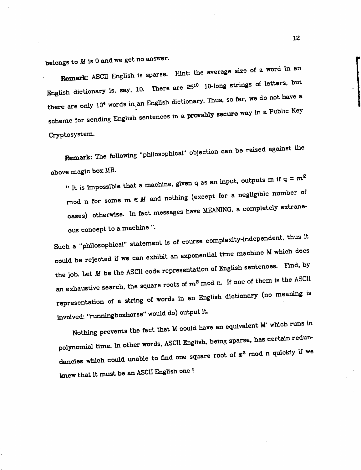belongs to  $M$  is 0 and we get no answer.

**Remark:** ASCII English is sparse. Hint: the average size of a word in an English dictionary is, say, 10. There are  $25^{10}$  10-long strings of letters, but there are only  $10^4$  words in an English dictionary. Thus, so far, we do not have a scheme for sending English sentences in a **provably secure** way in a Public Key Cryptosystem.

*Remark:* The following "philosophical" objection can be raised against the above magic box MB.

.. It is impossible that a machine, given q as an input, outputs m if  $q = m^2$ mod n for some  $m \in M$  and nothing (except for a negligible number of cases) otherwise. In fact messages have MEANING, a completely extraneous concept to a machine ".

Such a "philosophical" statement is of course complexity-independent, thus it could be rejected if we can exhibit an exponential time machine Mwhich does the job. Let  $M$  be the ASCII code representation of English sentences. Find, by an exhaustive search, the square roots of  $m^2$  mod n. If one of them is the ASCII representation of a string of words in an English dictionary (no meaning is involved: "runningboxhorse" would do) output it.

Nothing prevents the fact that  $M$  could have an equivalent  $M'$  which runs in polynomial time. In other words, ASCII English, being sparse, has certain redun-<br>dancies which could unable to find one square root of  $x^2$  mod n quickly if we knew that it must be an ASCII English one !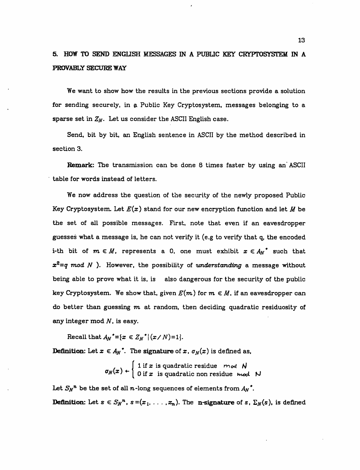# 5. *HOW* TO SEND ENGLISH MESSAGES IN A PUBLIC KEY CRYPTOSYSTEM IN A PROVABLY SECURE WAY

We want to show how the results in the previous sections provide a solution for sending securely, in a Public Key Cryptosystem, messages belonging to a sparse set in  $Z_N$ . Let us consider the ASCII English case.

Send, bit by bit, an English sentence in ASCII by the method described in section 3.

*Remark:* The transmission can be done 8 times faster by using an' ASCII table for words instead of letters.

We now address the question of the security of the newly proposed Public Key Cryptosystem. Let  $E(x)$  stand for our new encryption function and let M be the set of all possible messages. First, note that even if an eavesdropper guesses what a message is, he can not verify it (e.g to verify that q, the encoded i-th bit of  $m \in M$ , represents a 0, one must exhibit  $x \in A_N^*$  such that **x2=q mod N** ). However, the possibility of **understanding** a message without being able to prove what it is, is also dangerous for the security of the public key Cryptosystem. We show that, given  $E(m)$  for  $m \in M$ , if an eavesdropper can do better than guessing **m** at random, then deciding quadratic residuosity of any integer mod **N,** is easy.

*Recall* that  $A_N^* = \{x \in Z_N^* | (x/N)=1\}.$ 

**Definition:** Let  $x \in A_N$ <sup>\*</sup>. The **signature** of  $x$ ,  $\sigma_N(x)$  is defined as,

$$
\sigma_N(x) \leftarrow \left\{ \begin{array}{ll} 1 \text{ if } x \text{ is quadratic residue} & \text{mod } N \\ 0 \text{ if } x \text{ is quadratic non residue} & \text{mod } N \end{array} \right.
$$

Let  $S_N^n$  be the set of all *n*-long sequences of elements from  $A_N$ . **Definition:** Let  $s \in S_N^n$ ,  $s = (x_1, \ldots, x_n)$ . The *n*-signature of s,  $\Sigma_N(s)$ , is defined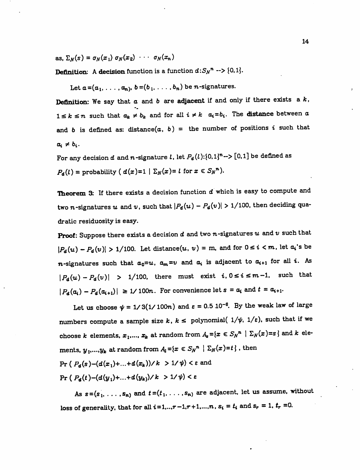$a_n$ ,  $\sum_N (s) = \sigma_N(x_1) \sigma_N(x_2) \cdots \sigma_N(x_n)$ 

**Definition:** A **decision** function is a function  $d: S_N^n \longrightarrow \{0,1\}.$ 

Let  $a=(a_1, \ldots, a_n)$ ,  $b=(b_1, \ldots, b_n)$  be n-signatures.

*Definition:* We say that **a** and **b** are *adjacent* if and only if there exists a **k,**  $1 \leq k \leq n$  such that  $a_k \neq b_k$  and for all  $i \neq k$   $a_i = b_i$ . The **distance** between  $a$ and b is defined as: distance( $\alpha$ ,  $b$ ) = the number of positions *i* such that  $a_i \neq b_i$ .

For any decision  $d$  and  $n$ -signature  $l$ , let  $P_d(l):(0,1]^n \rightarrow [0,1]$  be defined as  $P_d(l)$  = probability (  $d(x)=1 | \sum_N(x)=l$  for  $x \in S_N^n$ ).

*Theorem 3:* If there exists a decision function **d** which is easy to compute and two *n*-signatures *u* and *v*, such that  $|P_d(u) - P_d(v)| > 1/100$ , then deciding quadratic residuosity is easy.

*Proof:* Suppose there exists a decision **d** and two n-signatures **u** and **v** such that  $\vert P_d(u) - P_d(v) \vert > 1/100$ . Let distance $(u, v)$  = m. and for  $0 \le i \le m$ , let  $a_i$ 's be n-signatures such that  $a_0 = u$ .  $a_m = v$  and  $a_i$  is adjacent to  $a_{i+1}$  for all i. As  $\vert P_d(u) - P_d(v) \vert$  > 1/100, there must exist  $i, 0 \le i \le m-1$ , such that  $|P_d(a_i) - P_d(a_{i+1})| \ge 1/ 100n$ . For convenience let  $s = a_i$  and  $t = a_{i+1}$ .

Let us choose  $\psi = 1/3(1/100n)$  and  $\varepsilon = 0.5 10^{-6}$ . By the weak law of large numbers compute a sample size  $k$ ,  $k \leq$  polynomial  $(1/\psi, 1/\varepsilon)$ , such that if we choose  $k$  elements,  $x_1, ..., x_k$  at random from  $A_s = \{x \in S_N^n \mid \Sigma_N(x)=s\}$  and  $k$  elements,  $y_1,...,y_k$  at random from  $A_i = \{x \in S_N^n | \Sigma_N(x)=t\}$ , then Pr ( $P_d(s)-(d(x_1)+...+d(x_k))/k > 1/\psi$ ) <  $\varepsilon$  and Pr (  $P_d(t) - (d(y_1) + ... + d(y_k))/k > 1/\psi) < ε$ 

As  $s=(s_1, \ldots, s_n)$  and  $t=(t_1, \ldots, s_n)$  are adjacent, let us assume, without loss of generality, that for all  $i=1,..,r-1,r+1, ..., n$ ,  $s_i = t_i$  and  $s_r = 1$ ,  $t_r = 0$ .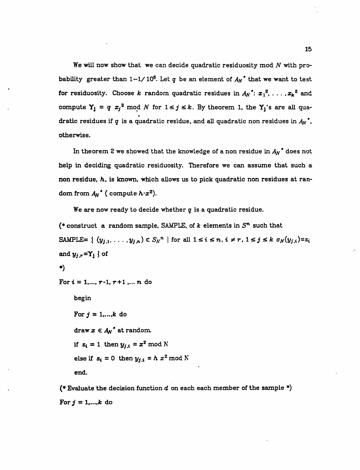*We will now show that we can decide quadratic residuosity mod N with pro bability* greater than  $1-1/10^6$ . Let q be an element of  $A_N^*$  that we want to test *for residuosity.* Choose *k random quadratic residues* in  $A_N$ <sup>\*</sup>;  $x_1$ <sup>2</sup>, ...,  $x_k$ <sup>2</sup> and *compute*  $Y_j = q x_j^2$  *mod N* for  $1 \le j \le k$ . By theorem 1, the  $Y_j$ 's are all qua*dratic residues if q is a quadratic residue, and all quadratic non residues in An\*, otherwise.*

*In theorem 2 we showed that the knowledge of a non residue in An\* does not help in deciding quadratic residuosity. Therefore we can assume that such a non residue, /i, is known, which allows us to pick quadratic non residues at ran dom* from  $A_N$ <sup>\*</sup> (compute  $h \cdot x^2$ ).

*We are now ready to decide whether q is a quadratic residue.*

*(\* construct a random sample, SAMPLE, of k elements in S71 such that* SAMPLE=  $\{ (y_{j,1}, \ldots, y_{j,n}) \in S_N^n \mid \text{for all } 1 \leq i \leq n, i \neq r, 1 \leq j \leq k \text{ or } y_{j,i} \} = s_i$ and  $y_{j,r}$ =Y<sub>j</sub>  $\}$  of *•)*  $For i = 1, ..., r-1, r+1, ..., n$  do *begin For*  $j = 1,...,k$  do  $d$ *raw* $x \in A_N^*$  **at random.** *if*  $s_i = 1$  then  $y_{j,i} = x^2 \mod N$ *else* if  $s_i = 0$  then  $y_{j,i} = h x^2 \text{ mod } N$ 

*end.*

*(\* Evaluate the decision function d on each each member of the sample \*)*  $For j = 1, ..., k$  do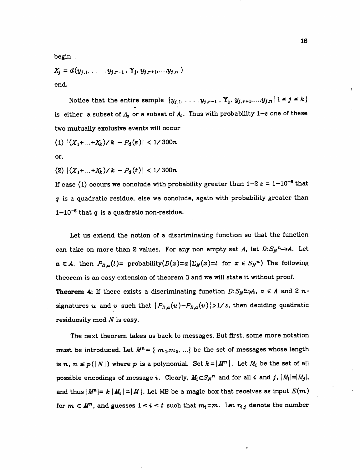begin .

$$
X_j = d(y_{j,1},\ldots,y_{j,r-1},\mathbf{Y}_j,y_{j,r+1},\ldots,y_{j,n})
$$
  
end.

Notice that the entire sample  $\{y_{j,1}, \ldots, y_{j,r-1} \cdot Y_j, y_{j,r+1}, \ldots, y_{j,n} \mid 1 \leq j \leq k\}$ is either a subset of  $A_s$  or a subset of  $A_t$ . Thus with probability 1- $\varepsilon$  one of these two mutually exclusive events will occur

$$
(1) |(X_1 + ... + X_k)/k - P_d(s)| < 1/300n
$$

or,

 $\{Z\}$   $\{(X_1 + ... + X_k)/k - P_d(t)\}$  < 1/300n

If case (1) occurs we conclude with probability greater than  $1-2 \varepsilon = 1-10^{-8}$  that **q** is a quadratic residue, else we conclude, again with probability greater than  $1-10^{-6}$  that q is a quadratic non-residue.

Let us extend the notion of a discriminating function so that the function can take on more than 2 values. For any non empty set A, let  $D: S_N^n \rightarrow A$ . Let  $a \in A$ , then  $P_{D,a}(l)$ = probability $(D(x)=a|\Sigma_N(x)=l$  for  $x \in S_N^n$ ) The following theorem is an easy extension of theorem 3 and we will state it without proof. **Theorem** 4: If there exists a discriminating function  $D: S_N^T \rightarrow A$ ,  $a \in A$  and 2 nsignatures  $u$  and  $v$  such that  $|P_{D,a}(u)-P_{D,a}(v)|>1$ / $\varepsilon$ , then deciding quadratic residuosity mod **N** is easy.

The next theorem takes us back to messages. But first, some more notation must be introduced. Let  $M^n = \{ m_1, m_2, ...\}$  be the set of messages whose length is  $n, n \leq p(|N|)$  where  $p$  is a polynomial. Set  $k = |M^n|$ . Let  $M_i$  be the set of all possible encodings of message *i*. Clearly,  $M_i \subset S_N^n$  and for all *i* and *j*,  $|M_i|=|M_j|$ , and thus  $|M^n| = k |M| = |M|$ . Let MB be a magic box that receives as input  $E(m)$ for  $m \in M^n$ , and guesses  $1 \leq i \leq t$  such that  $m_i = m$ . Let  $r_{i,j}$  denote the number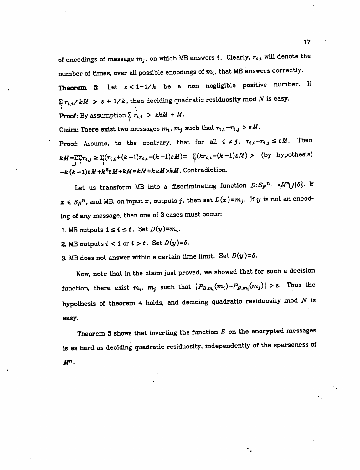of encodings of message  $m_j$ , on which MB answers *i*. Clearly,  $r_{i,i}$  will denote the number of times, over all possible encodings of  $m_i$ , that MB answers correctly.

**Theorem** 5: Let  $\varepsilon < 1-1/k$  be a non negligible positive number. If  $\sum_{i} r_{i,i}/kM > \varepsilon + 1/k$ , then deciding quadratic residuosity mod N is easy. **Proof:** By assumption  $\sum_{i=1}^{n} r_{i,i} > \varepsilon kM + M$ .

Claim: There exist two messages  $m_i$ ,  $m_j$  such that  $r_{i,i} - r_{i,j} > \varepsilon M$ .

Proof: Assume, to the contrary, that for all  $i \neq j$ ,  $r_{i,i} - r_{i,j} \leq \varepsilon M$ . Then  $kM=\sum T_{i,j}\geq \sum (r_{i,i}+(k-1)r_{i,i}-(k-1)\varepsilon M)=\sum (kr_{i,i}-(k-1)\varepsilon M)$  > (by hypothesis)  $J$  , and the set of the set of the set of the set of the set of the set of the set of the set of the set of the set of the set of the set of the set of the set of the set of the set of the set of the set of the set of th *-A: (A: -l)tM+k2sM+kM=kM+k eM>kMt Contradiction.*

Let us transform MB into a discriminating function  $D: S_N^n \to M^n \cup \{\delta\}$ . If  $x \in S_N^n$ , and MB, on input  $x$ , outputs  $j$ , then set  $D(x)=m_j$ . If  $y$  is not an encoding of any message, then one of 3 cases must occur:

1. MB outputs  $1 \leq i \leq t$ . Set  $D(y)=m_i$ .

2. MB outputs  $i < 1$  or  $i > t$ . Set  $D(y)=\delta$ .

**3. MB does not answer within a certain time limit. Set**  $D(y)=\delta$ **.** 

Now, note that in the claim just proved, we showed that for such a decision function, there exist  $m_i$ ,  $m_j$  such that  $\vert P_{D,m_i}(m_i)-P_{D,m_i}(m_j)\vert > \varepsilon$ . Thus the hypothesis of theorem 4 holds, and deciding quadratic residuosity mod **N** is easy.

Theorem 5 shows that inverting the function **E** on the encrypted messages is as hard as deciding quadratic residuosity, independently of the sparseness of *Mn.*